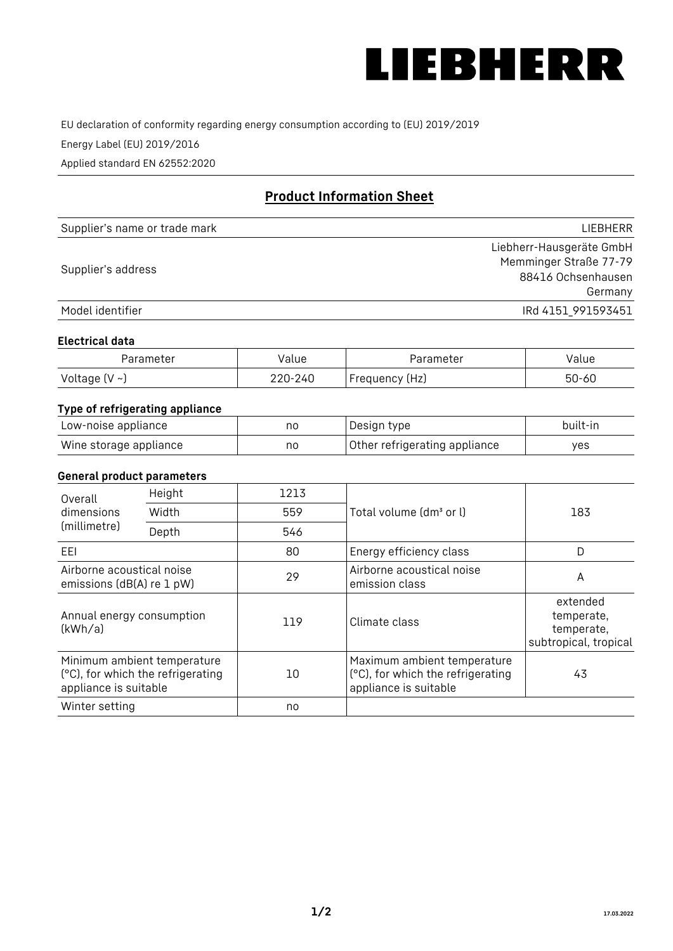

EU declaration of conformity regarding energy consumption according to (EU) 2019/2019

Energy Label (EU) 2019/2016

Applied standard EN 62552:2020

# **Product Information Sheet**

| Supplier's name or trade mark | <b>LIFBHFRR</b>          |
|-------------------------------|--------------------------|
|                               | Liebherr-Hausgeräte GmbH |
|                               | Memminger Straße 77-79   |
| Supplier's address            | 88416 Ochsenhausen       |
|                               | Germany                  |
| Model identifier              | IRd 4151 991593451       |

#### **Electrical data**

| Parameter           | Value   | Parameter      | alue/     |
|---------------------|---------|----------------|-----------|
| Voltage (V $\sim$ ) | 220-240 | Frequency (Hz) | $50 - 60$ |

## **Type of refrigerating appliance**

| Low-noise appliance    | no | Design type                   | built-in |
|------------------------|----|-------------------------------|----------|
| Wine storage appliance | nc | Other refrigerating appliance | ves      |

## **General product parameters**

| Height<br>Overall                                      |                                                                  | 1213 |                                                                                           |                                                               |
|--------------------------------------------------------|------------------------------------------------------------------|------|-------------------------------------------------------------------------------------------|---------------------------------------------------------------|
| dimensions<br>(millimetre)                             | Width                                                            | 559  | Total volume (dm <sup>3</sup> or l)                                                       | 183                                                           |
|                                                        | Depth                                                            | 546  |                                                                                           |                                                               |
| EEL                                                    |                                                                  | 80   | Energy efficiency class                                                                   | D                                                             |
| Airborne acoustical noise<br>emissions (dB(A) re 1 pW) |                                                                  | 29   | Airborne acoustical noise<br>emission class                                               | A                                                             |
| Annual energy consumption<br>(kWh/a)                   |                                                                  | 119  | Climate class                                                                             | extended<br>temperate,<br>temperate,<br>subtropical, tropical |
| appliance is suitable                                  | Minimum ambient temperature<br>(°C), for which the refrigerating | 10   | Maximum ambient temperature<br>(°C), for which the refrigerating<br>appliance is suitable | 43                                                            |
| Winter setting                                         |                                                                  | no   |                                                                                           |                                                               |